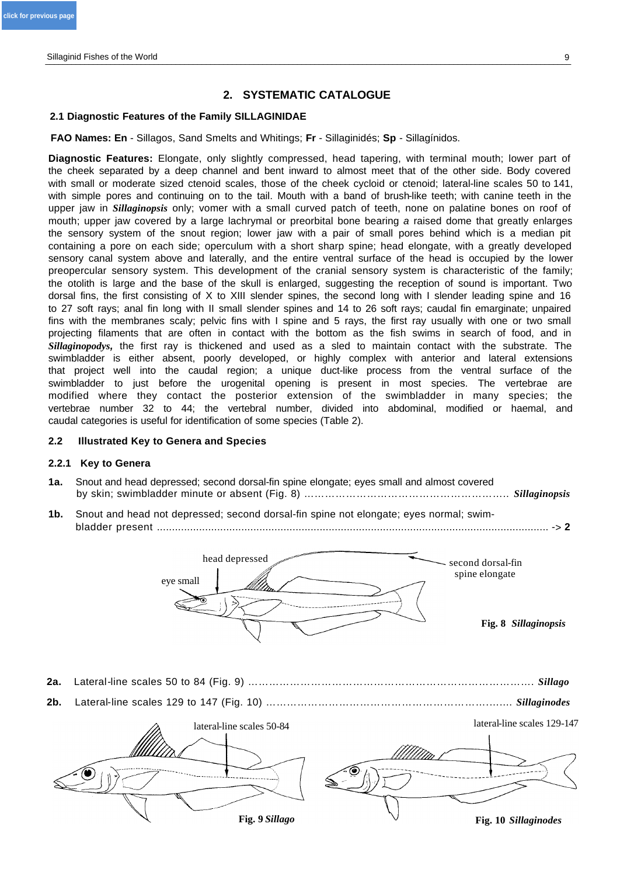# **2. SYSTEMATIC CATALOGUE**

### **2.1 Diagnostic Features of the Family SILLAGINIDAE**

**FAO Names: En** - Sillagos, Sand Smelts and Whitings; **Fr** - Sillaginidés; **Sp** - Sillagínidos.

**Diagnostic Features:** Elongate, only slightly compressed, head tapering, with terminal mouth; lower part of the cheek separated by a deep channel and bent inward to almost meet that of the other side. Body covered with small or moderate sized ctenoid scales, those of the cheek cycloid or ctenoid; lateral-line scales 50 to 141, with simple pores and continuing on to the tail. Mouth with a band of brush-like teeth; with canine teeth in the upper jaw in *Sillaginopsis* only; vomer with a small curved patch of teeth, none on palatine bones on roof of mouth; upper jaw covered by a large lachrymal or preorbital bone bearing *a* raised dome that greatly enlarges the sensory system of the snout region; lower jaw with a pair of small pores behind which is a median pit containing a pore on each side; operculum with a short sharp spine; head elongate, with a greatly developed sensory canal system above and laterally, and the entire ventral surface of the head is occupied by the lower preopercular sensory system. This development of the cranial sensory system is characteristic of the family; the otolith is large and the base of the skull is enlarged, suggesting the reception of sound is important. Two dorsal fins, the first consisting of X to XIII slender spines, the second long with I slender leading spine and 16 to 27 soft rays; anal fin long with II small slender spines and 14 to 26 soft rays; caudal fin emarginate; unpaired fins with the membranes scaly; pelvic fins with I spine and 5 rays, the first ray usually with one or two small projecting filaments that are often in contact with the bottom as the fish swims in search of food, and in *Sillaginopodys,* the first ray is thickened and used as a sled to maintain contact with the substrate. The swimbladder is either absent, poorly developed, or highly complex with anterior and lateral extensions that project well into the caudal region; a unique duct-like process from the ventral surface of the swimbladder to just before the urogenital opening is present in most species. The vertebrae are modified where they contact the posterior extension of the swimbladder in many species; the vertebrae number 32 to 44; the vertebral number, divided into abdominal, modified or haemal, and caudal categories is useful for identification of some species (Table 2).

# **2.2 Illustrated Key to Genera and Species**

### **2.2.1 Key to Genera**

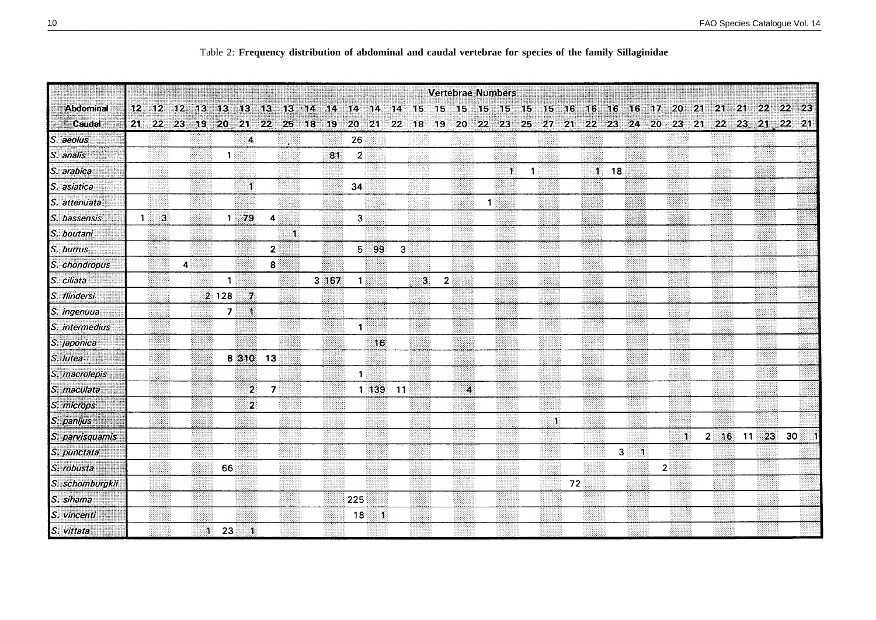|                 |              |                                                                                                 |                 |                     |                   |       |                |               |          |             |                |                | <b>Vertebrae Numbers</b> |              |     |              |    |                                |                        |    |          |          |    |  |
|-----------------|--------------|-------------------------------------------------------------------------------------------------|-----------------|---------------------|-------------------|-------|----------------|---------------|----------|-------------|----------------|----------------|--------------------------|--------------|-----|--------------|----|--------------------------------|------------------------|----|----------|----------|----|--|
| Abdominal       |              | 12 12 12 13 13 13 13 13 14 14 14 14 14 15 15 15 15 15 15 15 16 16 16 17 20 21 21 21 22 22 23    |                 |                     |                   |       |                |               |          |             |                |                |                          |              |     |              |    |                                |                        |    |          |          |    |  |
| <b>Caudal</b>   |              | 21 22 23 19 20 21 22 25 18 19 20 21 22 18 19 20 22 23 25 27 21 22 23 24 20 23 21 22 23 21 22 21 |                 |                     |                   |       |                |               |          |             |                |                |                          |              |     |              |    |                                |                        |    |          |          |    |  |
| S. aeolus       |              |                                                                                                 |                 | $\overline{4}$      | S.                |       | 26             |               |          |             |                |                |                          |              |     |              |    |                                |                        |    |          |          |    |  |
| S. analis       |              |                                                                                                 | $\mathbf{1}$    |                     |                   | 81    | $\overline{2}$ |               |          |             |                |                |                          |              |     |              |    |                                |                        |    |          |          |    |  |
| S. arabica      |              |                                                                                                 |                 |                     |                   | 33    |                |               |          | eroses      |                | r∰             |                          | $\mathbf{A}$ | -18 |              |    | $1 \quad 18$                   |                        |    |          |          |    |  |
| S. asiatica     |              |                                                                                                 |                 | $\mathbf{I}$        |                   |       | 34             |               |          |             |                |                |                          |              |     |              |    |                                |                        |    |          | - 3      |    |  |
| S. attenuata    |              |                                                                                                 |                 |                     |                   |       |                |               |          |             |                | 2              | .1 ે                     |              |     |              |    |                                |                        |    |          |          |    |  |
| S. bassensis    | $\mathbf{1}$ | $\overline{3}$                                                                                  | 1 <sub>79</sub> |                     | 4                 |       | 3              |               |          |             |                |                |                          |              |     |              |    |                                |                        |    |          |          |    |  |
| S. boutani      |              |                                                                                                 |                 |                     | $\mathbf{1}$      |       |                |               |          |             |                |                |                          |              |     |              |    |                                |                        |    |          |          |    |  |
| S. burrus       |              | 82                                                                                              |                 |                     | $2^{\frac{1}{2}}$ |       |                | $5^{\circ}99$ | 3        |             |                |                |                          |              |     |              |    |                                |                        |    |          |          |    |  |
| S. chondropus   |              | 4                                                                                               |                 |                     | 8                 |       |                |               |          |             |                | an an          |                          |              |     |              |    |                                |                        |    |          | 33       |    |  |
| S. ciliata      |              |                                                                                                 | 1               |                     |                   | 3 167 | $\mathbf{1}$   |               |          | $3^{\circ}$ | 2 <sup>1</sup> |                |                          |              |     |              |    |                                |                        |    |          |          |    |  |
| S. flindersi    |              |                                                                                                 | 2 1 2 8         | $\mathcal{I}$       |                   |       |                | 23            |          |             |                |                |                          |              |     |              |    |                                |                        |    |          |          |    |  |
| S. ingenuua     |              |                                                                                                 | 7 <sup>3</sup>  | $\ddot{\mathbf{1}}$ |                   |       |                | 333           |          |             |                | 88             |                          |              |     |              |    |                                |                        |    |          | 22.22    |    |  |
| S. intermedius  |              |                                                                                                 |                 |                     |                   |       | $\mathbf{1}$   |               |          |             |                |                |                          |              |     |              |    |                                |                        |    |          | --       |    |  |
| S. japonica     |              |                                                                                                 |                 |                     |                   |       |                | 16            |          |             |                |                |                          |              |     |              |    |                                |                        |    |          |          |    |  |
| S. lutea        |              |                                                                                                 | 8 310           | 13                  |                   |       |                |               |          |             |                |                |                          |              |     |              |    |                                |                        |    |          |          |    |  |
| S. macrolepis   |              |                                                                                                 |                 |                     |                   |       | $\ddagger$     |               |          |             |                |                |                          |              |     |              |    |                                |                        |    |          |          |    |  |
| S. maculata     |              |                                                                                                 |                 | $\mathbf{2}$        | $7^{\circ}$       |       |                |               | 1 139 11 |             |                | $\overline{4}$ |                          |              |     |              |    |                                |                        |    |          |          |    |  |
| S. microps      |              |                                                                                                 |                 | $\mathbf{2}$        |                   |       |                |               |          |             |                |                |                          |              |     |              |    |                                |                        |    |          |          |    |  |
| S. panijus      |              |                                                                                                 |                 |                     |                   |       |                |               |          | 8848        |                |                |                          |              |     | $\mathbf{1}$ |    |                                |                        |    |          |          |    |  |
| S. parvisquamis |              |                                                                                                 |                 |                     |                   |       |                |               |          |             |                |                | 55665                    |              |     |              |    |                                |                        | ាះ | $2 - 16$ | 23<br>11 | 30 |  |
| S. punctata     |              |                                                                                                 |                 |                     |                   |       |                |               |          |             |                |                |                          |              |     |              |    | 3 <sup>1</sup><br>$\mathbf{1}$ |                        |    |          |          |    |  |
| S. robusta      |              |                                                                                                 | 66              |                     |                   |       |                |               |          |             |                |                | 22                       |              |     |              |    |                                | $\mathbf{2}^{\dagger}$ |    |          |          |    |  |
| S. schomburgkii |              |                                                                                                 |                 |                     |                   |       |                |               |          |             |                |                | 233                      |              |     |              | 72 |                                |                        |    |          |          |    |  |
| S. sihama       |              |                                                                                                 |                 |                     |                   |       | 225            |               |          |             |                |                |                          |              |     |              |    |                                |                        |    |          |          |    |  |
| S. vincenti     |              |                                                                                                 |                 |                     |                   |       | 18             | ា             |          |             |                |                |                          |              |     |              |    |                                |                        |    |          |          |    |  |
| S. vittata      |              |                                                                                                 | 123             | ា                   |                   |       |                |               |          |             |                |                |                          |              |     |              |    |                                |                        |    |          |          |    |  |

#### Table 2: **Frequency distribution of abdominal and caudal vertebrae for species of the family Sillaginidae**

\_\_\_\_\_\_\_\_\_\_\_\_\_\_\_\_\_\_\_\_\_\_\_\_\_\_\_\_\_\_\_\_\_\_\_\_\_\_\_\_\_\_\_\_\_\_\_\_\_\_\_\_\_\_\_\_\_\_\_\_\_\_\_\_\_\_\_\_\_\_\_\_\_\_\_\_\_\_\_\_\_\_\_\_\_\_\_\_\_\_\_\_\_\_\_\_\_\_\_\_\_\_\_\_\_\_\_\_\_\_\_\_\_\_\_\_\_\_\_\_\_\_\_\_\_\_\_\_\_\_\_\_\_\_\_\_\_\_\_\_\_\_\_\_\_\_\_\_\_\_\_\_\_\_\_\_\_\_\_\_\_\_\_\_\_\_\_\_\_\_\_\_\_\_\_\_\_\_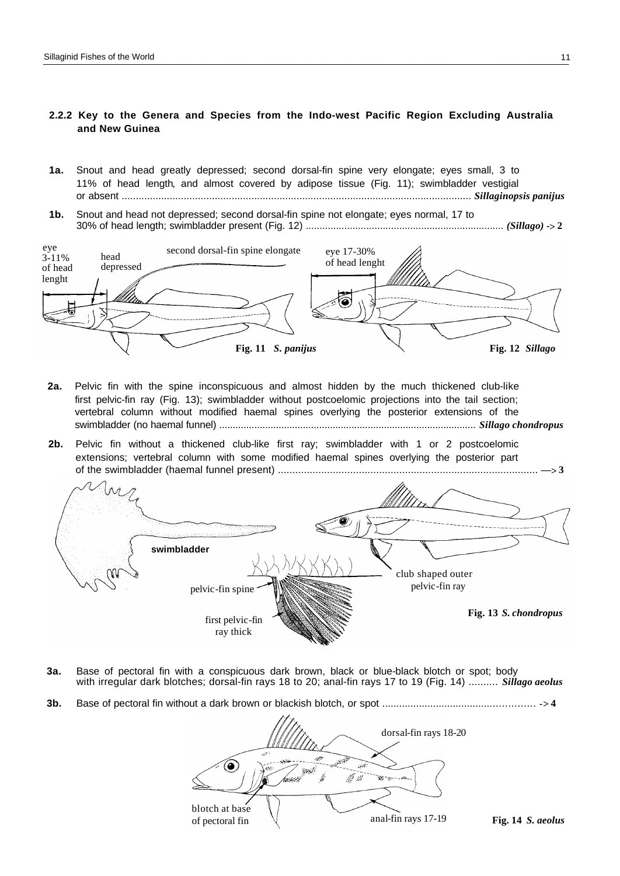# **2.2.2 Key to the Genera and Species from the Indo-west Pacific Region Excluding Australia and New Guinea**

- **1a.** Snout and head greatly depressed; second dorsal-fin spine very elongate; eyes small, 3 to 11% of head length, and almost covered by adipose tissue (Fig. 11); swimbladder vestigial or absent ............................................................................................................................ *Sillaginopsis panijus*
- **1b.** Snout and head not depressed; second dorsal-fin spine not elongate; eyes normal, 17 to 30% of head length; swimbladder present (Fig. 12) ........................................................................ *(Sillago) -***> 2**



- **2a.** Pelvic fin with the spine inconspicuous and almost hidden by the much thickened club-like first pelvic-fin ray (Fig. 13); swimbladder without postcoelomic projections into the tail section; vertebral column without modified haemal spines overlying the posterior extensions of the swimbladder (no haemal funnel) ............................................................................................... *Sillago chondropus*
- **2b.** Pelvic fin without a thickened club-like first ray; swimbladder with 1 or 2 postcoelomic extensions; vertebral column with some modified haemal spines overlying the posterior part of the swimbladder (haemal funnel present) .......................................................................................... **—> 3**



- **3a.** Base of pectoral fin with a conspicuous dark brown, black or blue-black blotch or spot; body with irregular dark blotches; dorsal-fin rays 18 to 20; anal-fin rays 17 to 19 (Fig. 14) .......... *Sillago aeolus*
- **3b.** Base of pectoral fin without a dark brown or blackish blotch, or spot ..................................................... -**> 4**

|                                                                   | dorsal-fin rays 18-20 |
|-------------------------------------------------------------------|-----------------------|
| وتور<br><b>SER</b><br>$\hat{\mathbf{x}}$ and<br>ź.<br>ر بروانان ب |                       |
| blotch at base<br>anal-fin rays 17-19<br>of pectoral fin          |                       |

of pectoral fin anal-fin rays 17-19 **Fig. 14** *S. aeolus*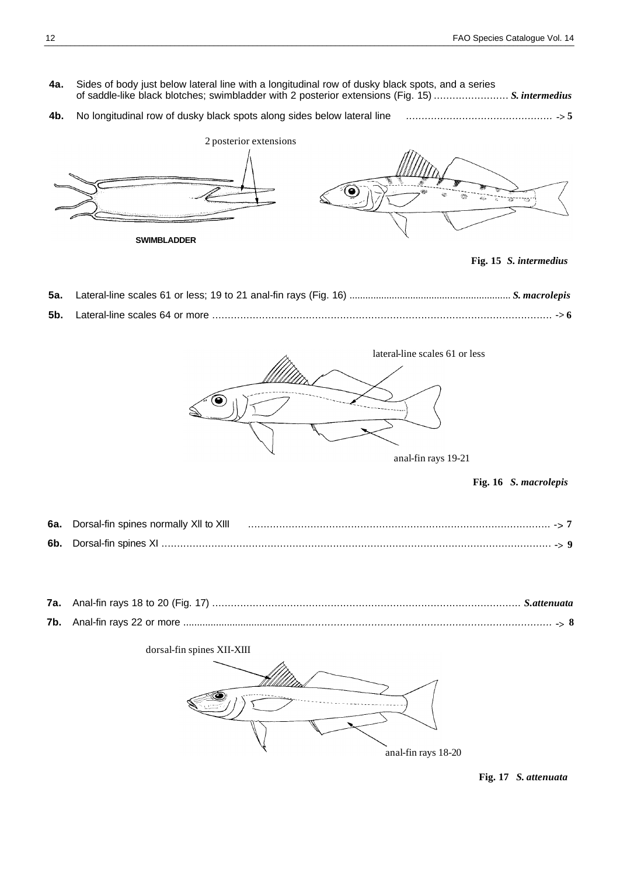- **4a.** Sides of body just below lateral line with a longitudinal row of dusky black spots, and a series of saddle-like black blotches; swimbladder with 2 posterior extensions (Fig. 15) ........................ *S. intermedius*
- **4b.** No longitudinal row of dusky black spots along sides below lateral line *............................................... -***> 5**



**Fig. 15** *S. intermedius*

**5a.** Lateral-line scales 61 or less; 19 to 21 anal-fin rays (Fig. 16) ............................................................. *S. macrolepis* **5b.** Lateral-line scales 64 or more ............................................................................................................. -**> 6**



anal-fin rays 19-21

### **Fig. 16** *S. macrolepis*

dorsal-fin spines XII-XIII



**Fig. 17** *S. attenuata*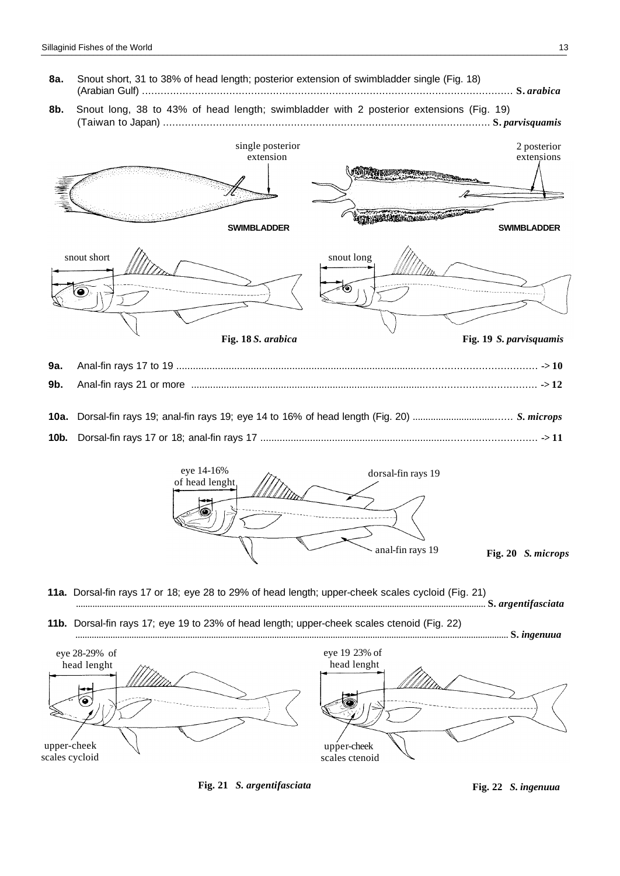- **8a.** Snout short, 31 to 38% of head length; posterior extension of swimbladder single (Fig. 18) (Arabian Gulf) ....................................................................................................................... **S.** *arabica*
- **8b.** Snout long, 38 to 43% of head length; swimbladder with 2 posterior extensions (Fig. 19) (Taiwan to Japan) ......................................................................................................... **S.** *parvisquamis*



**11b.** Dorsal-fin rays 17; eye 19 to 23% of head length; upper-cheek scales ctenoid (Fig. 22)





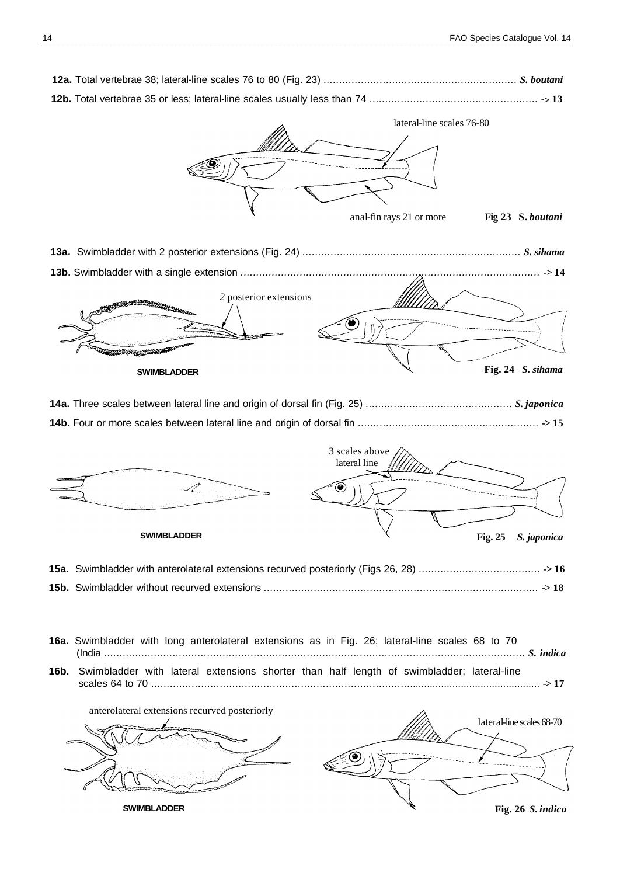|                                                                                                   | lateral-line scales 76-80                     |
|---------------------------------------------------------------------------------------------------|-----------------------------------------------|
|                                                                                                   |                                               |
|                                                                                                   |                                               |
|                                                                                                   |                                               |
|                                                                                                   |                                               |
|                                                                                                   |                                               |
|                                                                                                   | anal-fin rays 21 or more<br>Fig 23 S. boutani |
|                                                                                                   |                                               |
|                                                                                                   |                                               |
|                                                                                                   | $\rightarrow$ 14                              |
| 2 posterior extensions                                                                            |                                               |
|                                                                                                   |                                               |
|                                                                                                   |                                               |
| <b>GARAGE SERIE AND AND ARTIST</b>                                                                |                                               |
| <b>SWIMBLADDER</b>                                                                                | Fig. 24 S. sihama                             |
|                                                                                                   |                                               |
|                                                                                                   |                                               |
|                                                                                                   |                                               |
|                                                                                                   |                                               |
|                                                                                                   |                                               |
|                                                                                                   | 3 scales above                                |
|                                                                                                   | lateral line                                  |
|                                                                                                   |                                               |
|                                                                                                   |                                               |
|                                                                                                   |                                               |
| <b>SWIMBLADDER</b>                                                                                | Fig. 25 S. japonica                           |
|                                                                                                   |                                               |
|                                                                                                   |                                               |
|                                                                                                   |                                               |
|                                                                                                   |                                               |
|                                                                                                   |                                               |
| 16a. Swimbladder with long anterolateral extensions as in Fig. 26; lateral-line scales 68 to 70   |                                               |
| Swimbladder with lateral extensions shorter than half length of swimbladder; lateral-line<br>16b. |                                               |
|                                                                                                   |                                               |
|                                                                                                   |                                               |
| anterolateral extensions recurved posteriorly                                                     | lateral-line scales 68-70                     |
|                                                                                                   |                                               |
|                                                                                                   |                                               |
|                                                                                                   |                                               |
|                                                                                                   |                                               |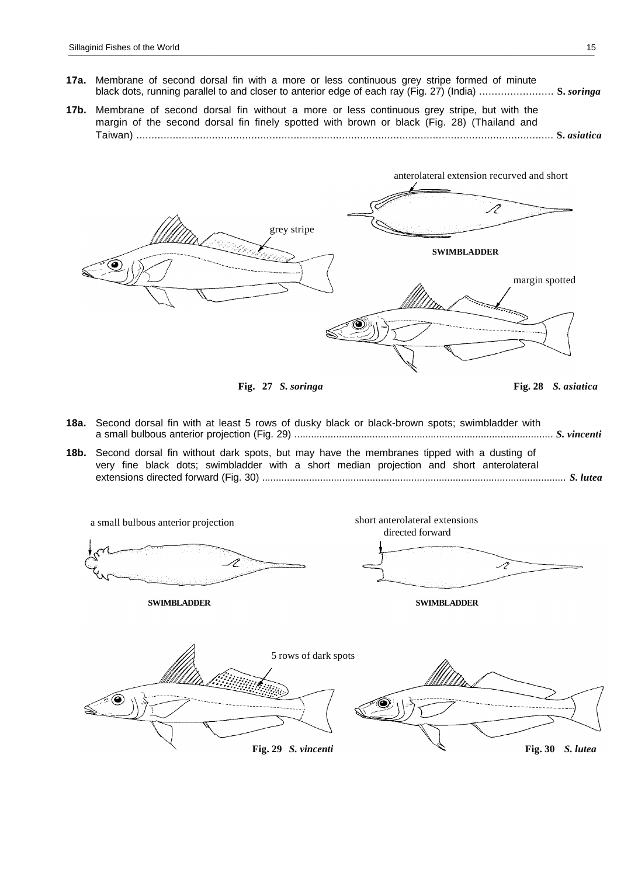- **17a.** Membrane of second dorsal fin with a more or less continuous grey stripe formed of minute black dots, running parallel to and closer to anterior edge of each ray (Fig. 27) (India) ........................ **S.** *soringa*
- **17b.** Membrane of second dorsal fin without a more or less continuous grey stripe, but with the margin of the second dorsal fin finely spotted with brown or black (Fig. 28) (Thailand and Taiwan) .......................................................................................................................................... **S.** *asiatica*



**Fig. 27** *S. soringa* **Fig. 28** *S. asiatica*

- **18a.** Second dorsal fin with at least 5 rows of dusky black or black-brown spots; swimbladder with a small bulbous anterior projection (Fig. 29) ............................................................................................. *S. vincenti*
- **18b.** Second dorsal fin without dark spots, but may have the membranes tipped with a dusting of very fine black dots; swimbladder with a short median projection and short anterolateral extensions directed forward (Fig. 30) .............................................................................................................. *S. lutea*

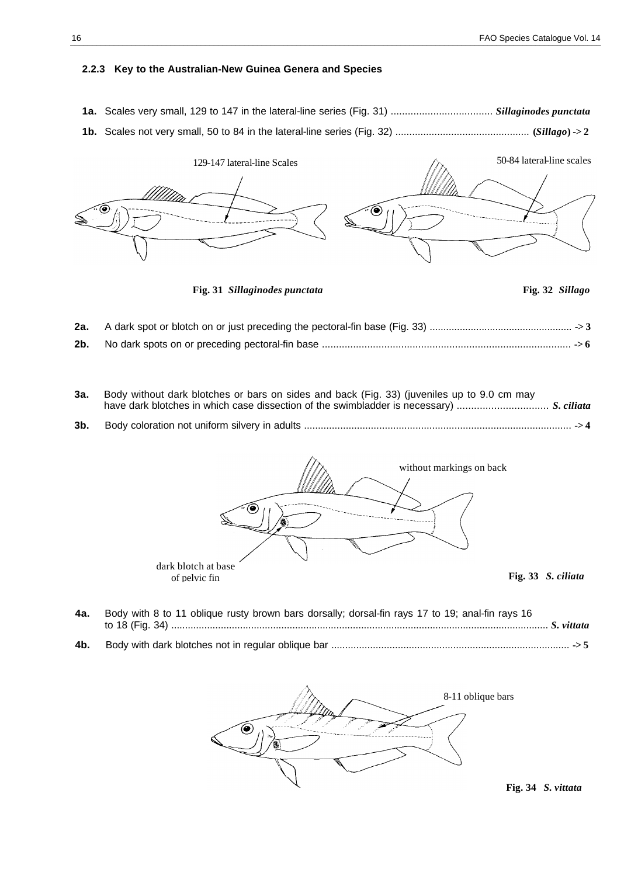## <span id="page-7-0"></span>**2.2.3 Key to the Australian-New Guinea Genera and Species**

- **1a.** Scales very small, 129 to 147 in the lateral-line series (Fig. 31) .................................... *Sillaginodes punctata*
- **1b.** Scales not very small, 50 to 84 in the lateral-line series (Fig. 32) ................................................ **(***Sillago***) -> 2**



**Fig. 31** *Sillaginodes punctata* **Fig. 32** *Sillago*



- **2a.** A dark spot or blotch on or just preceding the pectoral-fin base (Fig. 33) .................................................... **-> 3 2b.** No dark spots on or preceding pectoral-fin base ........................................................................................ **-> 6**
- **3a.** Body without dark blotches or bars on sides and back (Fig. 33) (juveniles up to 9.0 cm may have dark blotches in which case dissection of the swimbladder is necessary) ................................ *S. ciliata* **3b.** Body coloration not uniform silvery in adults ................................................................................................ **-> 4**



**4a.** Body with 8 to 11 oblique rusty brown bars dorsally; dorsal-fin rays 17 to 19; anal-fin rays 16 to 18 (Fig. 34) ......................................................................................................................................... *S. vittata* **4b.** Body with dark blotches not in regular oblique bar ...................................................................................... **-> 5**



**Fig. 34** *S. vittata*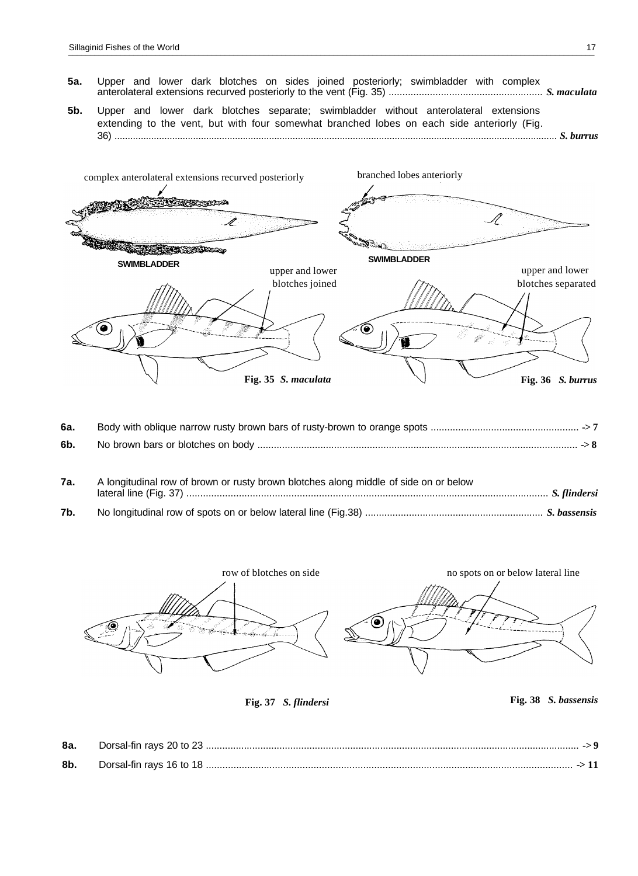- 
- **5a.** Upper and lower dark blotches on sides joined posteriorly; swimbladder with complex anterolateral extensions recurved posteriorly to the vent (Fig. 35) ........................................................ *S. maculata*
- **5b.** Upper and lower dark blotches separate; swimbladder without anterolateral extensions extending to the vent, but with four somewhat branched lobes on each side anteriorly (Fig. 36) ......................................................................................................................................................................... *S. burrus*



| 7a.        | A longitudinal row of brown or rusty brown blotches along middle of side on or below |  |
|------------|--------------------------------------------------------------------------------------|--|
| <b>7b.</b> |                                                                                      |  |



**Fig. 37** *S. flindersi* **Fig. 38** *S. bassensis*

| 8a. | Dorsal-fin ravs 20 to 23. |  |
|-----|---------------------------|--|
| 8b. | Dorsal-fin rays 16 to 18  |  |